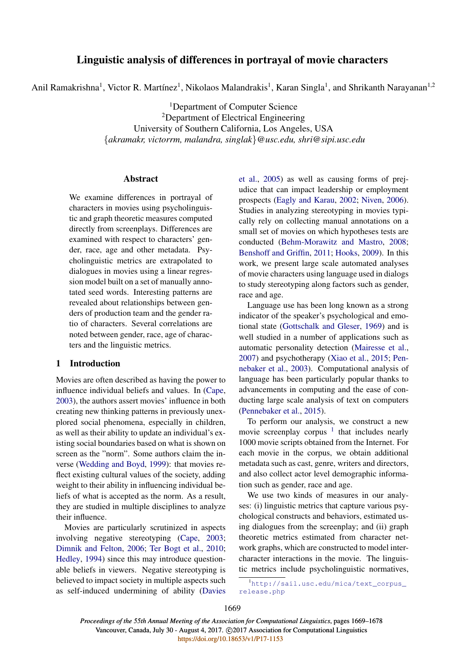# Linguistic analysis of differences in portrayal of movie characters

Anil Ramakrishna<sup>1</sup>, Victor R. Martínez<sup>1</sup>, Nikolaos Malandrakis<sup>1</sup>, Karan Singla<sup>1</sup>, and Shrikanth Narayanan<sup>1,2</sup>

<sup>1</sup>Department of Computer Science <sup>2</sup>Department of Electrical Engineering University of Southern California, Los Angeles, USA {*akramakr, victorrm, malandra, singlak*}*@usc.edu, shri@sipi.usc.edu*

## Abstract

We examine differences in portrayal of characters in movies using psycholinguistic and graph theoretic measures computed directly from screenplays. Differences are examined with respect to characters' gender, race, age and other metadata. Psycholinguistic metrics are extrapolated to dialogues in movies using a linear regression model built on a set of manually annotated seed words. Interesting patterns are revealed about relationships between genders of production team and the gender ratio of characters. Several correlations are noted between gender, race, age of characters and the linguistic metrics.

## 1 Introduction

Movies are often described as having the power to influence individual beliefs and values. In (Cape, 2003), the authors assert movies' influence in both creating new thinking patterns in previously unexplored social phenomena, especially in children, as well as their ability to update an individual's existing social boundaries based on what is shown on screen as the "norm". Some authors claim the inverse (Wedding and Boyd, 1999): that movies reflect existing cultural values of the society, adding weight to their ability in influencing individual beliefs of what is accepted as the norm. As a result, they are studied in multiple disciplines to analyze their influence.

Movies are particularly scrutinized in aspects involving negative stereotyping (Cape, 2003; Dimnik and Felton, 2006; Ter Bogt et al., 2010; Hedley, 1994) since this may introduce questionable beliefs in viewers. Negative stereotyping is believed to impact society in multiple aspects such as self-induced undermining of ability (Davies et al., 2005) as well as causing forms of prejudice that can impact leadership or employment prospects (Eagly and Karau, 2002; Niven, 2006). Studies in analyzing stereotyping in movies typically rely on collecting manual annotations on a small set of movies on which hypotheses tests are conducted (Behm-Morawitz and Mastro, 2008; Benshoff and Griffin, 2011; Hooks, 2009). In this work, we present large scale automated analyses of movie characters using language used in dialogs to study stereotyping along factors such as gender, race and age.

Language use has been long known as a strong indicator of the speaker's psychological and emotional state (Gottschalk and Gleser, 1969) and is well studied in a number of applications such as automatic personality detection (Mairesse et al., 2007) and psychotherapy (Xiao et al., 2015; Pennebaker et al., 2003). Computational analysis of language has been particularly popular thanks to advancements in computing and the ease of conducting large scale analysis of text on computers (Pennebaker et al., 2015).

To perform our analysis, we construct a new movie screenplay corpus  $1$  that includes nearly 1000 movie scripts obtained from the Internet. For each movie in the corpus, we obtain additional metadata such as cast, genre, writers and directors, and also collect actor level demographic information such as gender, race and age.

We use two kinds of measures in our analyses: (i) linguistic metrics that capture various psychological constructs and behaviors, estimated using dialogues from the screenplay; and (ii) graph theoretic metrics estimated from character network graphs, which are constructed to model intercharacter interactions in the movie. The linguistic metrics include psycholinguistic normatives,

<sup>&</sup>lt;sup>1</sup>http://sail.usc.edu/mica/text\_corpus\_ release.php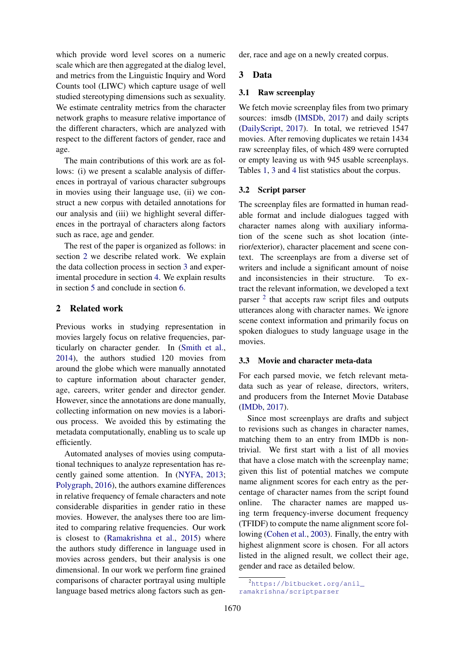which provide word level scores on a numeric scale which are then aggregated at the dialog level, and metrics from the Linguistic Inquiry and Word Counts tool (LIWC) which capture usage of well studied stereotyping dimensions such as sexuality. We estimate centrality metrics from the character network graphs to measure relative importance of the different characters, which are analyzed with respect to the different factors of gender, race and age.

The main contributions of this work are as follows: (i) we present a scalable analysis of differences in portrayal of various character subgroups in movies using their language use, (ii) we construct a new corpus with detailed annotations for our analysis and (iii) we highlight several differences in the portrayal of characters along factors such as race, age and gender.

The rest of the paper is organized as follows: in section 2 we describe related work. We explain the data collection process in section 3 and experimental procedure in section 4. We explain results in section 5 and conclude in section 6.

## 2 Related work

Previous works in studying representation in movies largely focus on relative frequencies, particularly on character gender. In (Smith et al., 2014), the authors studied 120 movies from around the globe which were manually annotated to capture information about character gender, age, careers, writer gender and director gender. However, since the annotations are done manually, collecting information on new movies is a laborious process. We avoided this by estimating the metadata computationally, enabling us to scale up efficiently.

Automated analyses of movies using computational techniques to analyze representation has recently gained some attention. In (NYFA, 2013; Polygraph, 2016), the authors examine differences in relative frequency of female characters and note considerable disparities in gender ratio in these movies. However, the analyses there too are limited to comparing relative frequencies. Our work is closest to (Ramakrishna et al., 2015) where the authors study difference in language used in movies across genders, but their analysis is one dimensional. In our work we perform fine grained comparisons of character portrayal using multiple language based metrics along factors such as gender, race and age on a newly created corpus.

## 3 Data

### 3.1 Raw screenplay

We fetch movie screenplay files from two primary sources: imsdb (IMSDb, 2017) and daily scripts (DailyScript, 2017). In total, we retrieved 1547 movies. After removing duplicates we retain 1434 raw screenplay files, of which 489 were corrupted or empty leaving us with 945 usable screenplays. Tables 1, 3 and 4 list statistics about the corpus.

### 3.2 Script parser

The screenplay files are formatted in human readable format and include dialogues tagged with character names along with auxiliary information of the scene such as shot location (interior/exterior), character placement and scene context. The screenplays are from a diverse set of writers and include a significant amount of noise and inconsistencies in their structure. To extract the relevant information, we developed a text parser <sup>2</sup> that accepts raw script files and outputs utterances along with character names. We ignore scene context information and primarily focus on spoken dialogues to study language usage in the movies.

## 3.3 Movie and character meta-data

For each parsed movie, we fetch relevant metadata such as year of release, directors, writers, and producers from the Internet Movie Database (IMDb, 2017).

Since most screenplays are drafts and subject to revisions such as changes in character names, matching them to an entry from IMDb is nontrivial. We first start with a list of all movies that have a close match with the screenplay name; given this list of potential matches we compute name alignment scores for each entry as the percentage of character names from the script found online. The character names are mapped using term frequency-inverse document frequency (TFIDF) to compute the name alignment score following (Cohen et al., 2003). Finally, the entry with highest alignment score is chosen. For all actors listed in the aligned result, we collect their age, gender and race as detailed below.

<sup>2</sup>https://bitbucket.org/anil\_ ramakrishna/scriptparser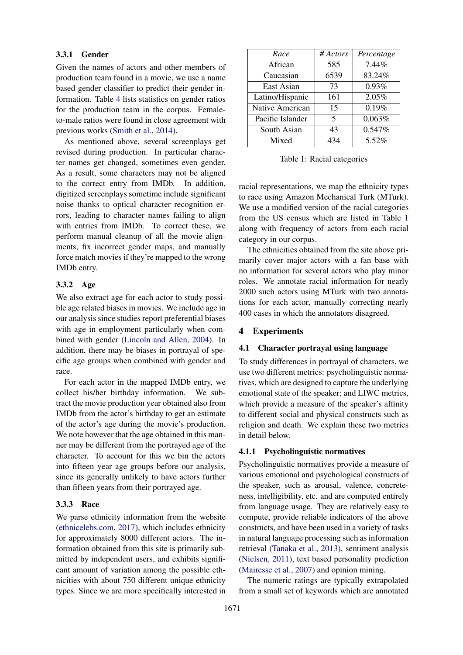## 3.3.1 Gender

Given the names of actors and other members of production team found in a movie, we use a name based gender classifier to predict their gender information. Table 4 lists statistics on gender ratios for the production team in the corpus. Femaleto-male ratios were found in close agreement with previous works (Smith et al., 2014).

As mentioned above, several screenplays get revised during production. In particular character names get changed, sometimes even gender. As a result, some characters may not be aligned to the correct entry from IMDb. In addition, digitized screenplays sometime include significant noise thanks to optical character recognition errors, leading to character names failing to align with entries from IMDb. To correct these, we perform manual cleanup of all the movie alignments, fix incorrect gender maps, and manually force match movies if they're mapped to the wrong IMDb entry.

### 3.3.2 Age

We also extract age for each actor to study possible age related biases in movies. We include age in our analysis since studies report preferential biases with age in employment particularly when combined with gender (Lincoln and Allen, 2004). In addition, there may be biases in portrayal of specific age groups when combined with gender and race.

For each actor in the mapped IMDb entry, we collect his/her birthday information. We subtract the movie production year obtained also from IMDb from the actor's birthday to get an estimate of the actor's age during the movie's production. We note however that the age obtained in this manner may be different from the portrayed age of the character. To account for this we bin the actors into fifteen year age groups before our analysis, since its generally unlikely to have actors further than fifteen years from their portrayed age.

### 3.3.3 Race

We parse ethnicity information from the website (ethnicelebs.com, 2017), which includes ethnicity for approximately 8000 different actors. The information obtained from this site is primarily submitted by independent users, and exhibits significant amount of variation among the possible ethnicities with about 750 different unique ethnicity types. Since we are more specifically interested in

| Race             | # Actors | Percentage |
|------------------|----------|------------|
| African          | 585      | 7.44%      |
| Caucasian        | 6539     | 83.24%     |
| East Asian       | 73       | 0.93%      |
| Latino/Hispanic  | 161      | 2.05%      |
| Native American  | 15       | 0.19%      |
| Pacific Islander | 5        | 0.063%     |
| South Asian      | 43       | 0.547%     |
| Mixed            | 434      | 5.52%      |

Table 1: Racial categories

racial representations, we map the ethnicity types to race using Amazon Mechanical Turk (MTurk). We use a modified version of the racial categories from the US census which are listed in Table 1 along with frequency of actors from each racial category in our corpus.

The ethnicities obtained from the site above primarily cover major actors with a fan base with no information for several actors who play minor roles. We annotate racial information for nearly 2000 such actors using MTurk with two annotations for each actor, manually correcting nearly 400 cases in which the annotators disagreed.

### 4 Experiments

### 4.1 Character portrayal using language

To study differences in portrayal of characters, we use two different metrics: psycholinguistic normatives, which are designed to capture the underlying emotional state of the speaker; and LIWC metrics, which provide a measure of the speaker's affinity to different social and physical constructs such as religion and death. We explain these two metrics in detail below.

#### 4.1.1 Psycholinguistic normatives

Psycholinguistic normatives provide a measure of various emotional and psychological constructs of the speaker, such as arousal, valence, concreteness, intelligibility, etc. and are computed entirely from language usage. They are relatively easy to compute, provide reliable indicators of the above constructs, and have been used in a variety of tasks in natural language processing such as information retrieval (Tanaka et al., 2013), sentiment analysis (Nielsen, 2011), text based personality prediction (Mairesse et al., 2007) and opinion mining.

The numeric ratings are typically extrapolated from a small set of keywords which are annotated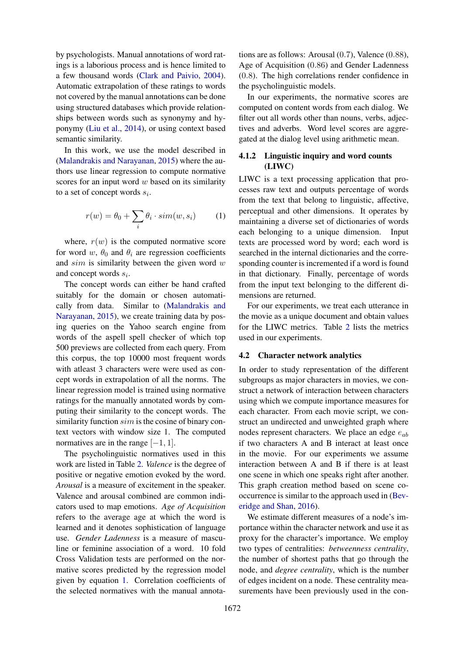by psychologists. Manual annotations of word ratings is a laborious process and is hence limited to a few thousand words (Clark and Paivio, 2004). Automatic extrapolation of these ratings to words not covered by the manual annotations can be done using structured databases which provide relationships between words such as synonymy and hyponymy (Liu et al., 2014), or using context based semantic similarity.

In this work, we use the model described in (Malandrakis and Narayanan, 2015) where the authors use linear regression to compute normative scores for an input word  $w$  based on its similarity to a set of concept words  $s_i$ .

$$
r(w) = \theta_0 + \sum_i \theta_i \cdot sim(w, s_i)
$$
 (1)

where,  $r(w)$  is the computed normative score for word w,  $\theta_0$  and  $\theta_i$  are regression coefficients and  $sim$  is similarity between the given word  $w$ and concept words  $s_i$ .

The concept words can either be hand crafted suitably for the domain or chosen automatically from data. Similar to (Malandrakis and Narayanan, 2015), we create training data by posing queries on the Yahoo search engine from words of the aspell spell checker of which top 500 previews are collected from each query. From this corpus, the top 10000 most frequent words with at least 3 characters were were used as concept words in extrapolation of all the norms. The linear regression model is trained using normative ratings for the manually annotated words by computing their similarity to the concept words. The similarity function  $sim$  is the cosine of binary context vectors with window size 1. The computed normatives are in the range  $[-1, 1]$ .

The psycholinguistic normatives used in this work are listed in Table 2. *Valence* is the degree of positive or negative emotion evoked by the word. *Arousal* is a measure of excitement in the speaker. Valence and arousal combined are common indicators used to map emotions. *Age of Acquisition* refers to the average age at which the word is learned and it denotes sophistication of language use. *Gender Ladenness* is a measure of masculine or feminine association of a word. 10 fold Cross Validation tests are performed on the normative scores predicted by the regression model given by equation 1. Correlation coefficients of the selected normatives with the manual annota-

tions are as follows: Arousal (0.7), Valence (0.88), Age of Acquisition (0.86) and Gender Ladenness (0.8). The high correlations render confidence in the psycholinguistic models.

In our experiments, the normative scores are computed on content words from each dialog. We filter out all words other than nouns, verbs, adjectives and adverbs. Word level scores are aggregated at the dialog level using arithmetic mean.

## 4.1.2 Linguistic inquiry and word counts (LIWC)

LIWC is a text processing application that processes raw text and outputs percentage of words from the text that belong to linguistic, affective, perceptual and other dimensions. It operates by maintaining a diverse set of dictionaries of words each belonging to a unique dimension. Input texts are processed word by word; each word is searched in the internal dictionaries and the corresponding counter is incremented if a word is found in that dictionary. Finally, percentage of words from the input text belonging to the different dimensions are returned.

For our experiments, we treat each utterance in the movie as a unique document and obtain values for the LIWC metrics. Table 2 lists the metrics used in our experiments.

#### 4.2 Character network analytics

In order to study representation of the different subgroups as major characters in movies, we construct a network of interaction between characters using which we compute importance measures for each character. From each movie script, we construct an undirected and unweighted graph where nodes represent characters. We place an edge  $e_{ab}$ if two characters A and B interact at least once in the movie. For our experiments we assume interaction between A and B if there is at least one scene in which one speaks right after another. This graph creation method based on scene cooccurrence is similar to the approach used in (Beveridge and Shan, 2016).

We estimate different measures of a node's importance within the character network and use it as proxy for the character's importance. We employ two types of centralities: *betweenness centrality*, the number of shortest paths that go through the node, and *degree centrality*, which is the number of edges incident on a node. These centrality measurements have been previously used in the con-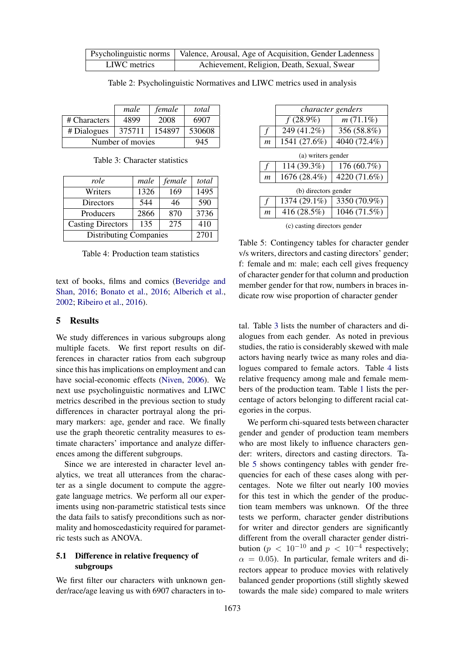|              | <b>Proposity</b> Psycholinguistic norms   Valence, Arousal, Age of Acquisition, Gender Ladenness |
|--------------|--------------------------------------------------------------------------------------------------|
| LIWC metrics | Achievement, Religion, Death, Sexual, Swear                                                      |

Table 2: Psycholinguistic Normatives and LIWC metrics used in analysis

|                  | male   | female | total  |
|------------------|--------|--------|--------|
| # Characters     | 4899   | 2008   | 6907   |
| # Dialogues      | 375711 | 154897 | 530608 |
| Number of movies |        |        | 945    |

Table 3: Character statistics

| role                          | male | female | total |
|-------------------------------|------|--------|-------|
| Writers                       | 1326 | 169    | 1495  |
| Directors                     | 544  | 46     | 590   |
| Producers                     | 2866 | 870    | 3736  |
| <b>Casting Directors</b>      | 135  | 275    | 410   |
| <b>Distributing Companies</b> |      |        | 2701  |

Table 4: Production team statistics

text of books, films and comics (Beveridge and Shan, 2016; Bonato et al., 2016; Alberich et al., 2002; Ribeiro et al., 2016).

### 5 Results

We study differences in various subgroups along multiple facets. We first report results on differences in character ratios from each subgroup since this has implications on employment and can have social-economic effects (Niven, 2006). We next use psycholinguistic normatives and LIWC metrics described in the previous section to study differences in character portrayal along the primary markers: age, gender and race. We finally use the graph theoretic centrality measures to estimate characters' importance and analyze differences among the different subgroups.

Since we are interested in character level analytics, we treat all utterances from the character as a single document to compute the aggregate language metrics. We perform all our experiments using non-parametric statistical tests since the data fails to satisfy preconditions such as normality and homoscedasticity required for parametric tests such as ANOVA.

## 5.1 Difference in relative frequency of subgroups

We first filter our characters with unknown gender/race/age leaving us with 6907 characters in to-

|                              | character genders |              |  |
|------------------------------|-------------------|--------------|--|
|                              | $f(28.9\%)$       | $m(71.1\%)$  |  |
|                              | 249 (41.2%)       | 356 (58.8%)  |  |
| m                            | 1541 (27.6%)      | 4040 (72.4%) |  |
| (a) writers gender           |                   |              |  |
| f                            | 114 (39.3%)       | 176 (60.7%)  |  |
| m                            | 1676 (28.4%)      | 4220 (71.6%) |  |
| (b) directors gender         |                   |              |  |
|                              | 1374 (29.1%)      | 3350 (70.9%) |  |
| m                            | 416 (28.5%)       | 1046 (71.5%) |  |
| (c) casting directors gender |                   |              |  |

Table 5: Contingency tables for character gender v/s writers, directors and casting directors' gender; f: female and m: male; each cell gives frequency of character gender for that column and production member gender for that row, numbers in braces indicate row wise proportion of character gender

tal. Table 3 lists the number of characters and dialogues from each gender. As noted in previous studies, the ratio is considerably skewed with male actors having nearly twice as many roles and dialogues compared to female actors. Table 4 lists relative frequency among male and female members of the production team. Table 1 lists the percentage of actors belonging to different racial categories in the corpus.

We perform chi-squared tests between character gender and gender of production team members who are most likely to influence characters gender: writers, directors and casting directors. Table 5 shows contingency tables with gender frequencies for each of these cases along with percentages. Note we filter out nearly 100 movies for this test in which the gender of the production team members was unknown. Of the three tests we perform, character gender distributions for writer and director genders are significantly different from the overall character gender distribution ( $p < 10^{-10}$  and  $p < 10^{-4}$  respectively;  $\alpha = 0.05$ ). In particular, female writers and directors appear to produce movies with relatively balanced gender proportions (still slightly skewed towards the male side) compared to male writers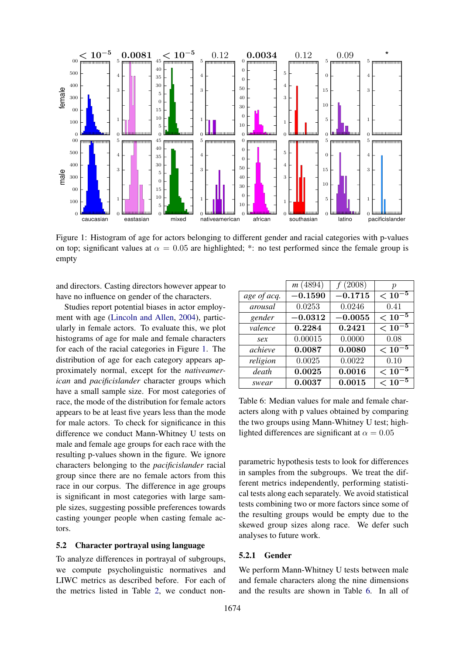

Figure 1: Histogram of age for actors belonging to different gender and racial categories with p-values on top; significant values at  $\alpha = 0.05$  are highlighted; \*: no test performed since the female group is empty

and directors. Casting directors however appear to have no influence on gender of the characters.

Studies report potential biases in actor employment with age (Lincoln and Allen, 2004), particularly in female actors. To evaluate this, we plot histograms of age for male and female characters for each of the racial categories in Figure 1. The distribution of age for each category appears approximately normal, except for the *nativeamerican* and *pacificislander* character groups which have a small sample size. For most categories of race, the mode of the distribution for female actors appears to be at least five years less than the mode for male actors. To check for significance in this difference we conduct Mann-Whitney U tests on male and female age groups for each race with the resulting p-values shown in the figure. We ignore characters belonging to the *pacificislander* racial group since there are no female actors from this race in our corpus. The difference in age groups is significant in most categories with large sample sizes, suggesting possible preferences towards casting younger people when casting female actors.

### 5.2 Character portrayal using language

To analyze differences in portrayal of subgroups, we compute psycholinguistic normatives and LIWC metrics as described before. For each of the metrics listed in Table 2, we conduct non-

|             | m(4894)                | f(2008)   | р           |
|-------------|------------------------|-----------|-------------|
| age of acq. | $-0.1590$              | $-0.1715$ | $< 10^{-5}$ |
| arousal     | 0.0253                 | 0.0246    | 0.41        |
| gender      | $\boldsymbol{-0.0312}$ | $-0.0055$ | $< 10^{-5}$ |
| valence     | 0.2284                 | 0.2421    | $< 10^{-5}$ |
| sex         | 0.00015                | 0.0000    | 0.08        |
| achieve     | 0.0087                 | 0.0080    | $< 10^{-5}$ |
| religion    | 0.0025                 | 0.0022    | 0.10        |
| death       | 0.0025                 | 0.0016    | $< 10^{-5}$ |
| swear       | 0.0037                 | 0.0015    | $< 10^{-5}$ |

Table 6: Median values for male and female characters along with p values obtained by comparing the two groups using Mann-Whitney U test; highlighted differences are significant at  $\alpha = 0.05$ 

parametric hypothesis tests to look for differences in samples from the subgroups. We treat the different metrics independently, performing statistical tests along each separately. We avoid statistical tests combining two or more factors since some of the resulting groups would be empty due to the skewed group sizes along race. We defer such analyses to future work.

#### 5.2.1 Gender

We perform Mann-Whitney U tests between male and female characters along the nine dimensions and the results are shown in Table 6. In all of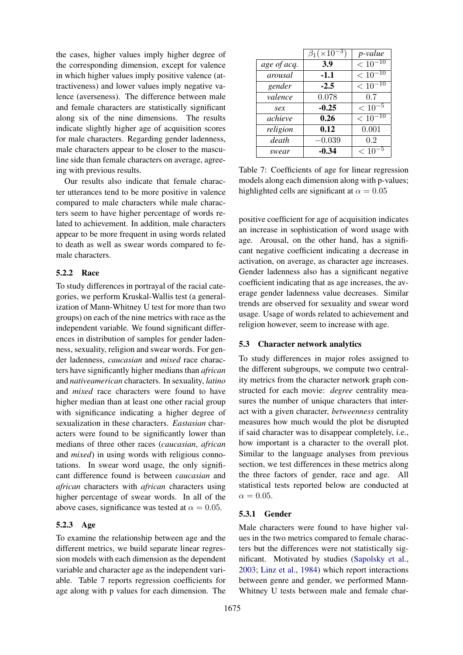the cases, higher values imply higher degree of the corresponding dimension, except for valence in which higher values imply positive valence (attractiveness) and lower values imply negative valence (averseness). The difference between male and female characters are statistically significant along six of the nine dimensions. The results indicate slightly higher age of acquisition scores for male characters. Regarding gender ladenness, male characters appear to be closer to the masculine side than female characters on average, agreeing with previous results.

Our results also indicate that female character utterances tend to be more positive in valence compared to male characters while male characters seem to have higher percentage of words related to achievement. In addition, male characters appear to be more frequent in using words related to death as well as swear words compared to female characters.

## 5.2.2 Race

To study differences in portrayal of the racial categories, we perform Kruskal-Wallis test (a generalization of Mann-Whitney U test for more than two groups) on each of the nine metrics with race as the independent variable. We found significant differences in distribution of samples for gender ladenness, sexuality, religion and swear words. For gender ladenness, *caucasian* and *mixed* race characters have significantly higher medians than *african* and *nativeamerican* characters. In sexuality, *latino* and *mixed* race characters were found to have higher median than at least one other racial group with significance indicating a higher degree of sexualization in these characters. *Eastasian* characters were found to be significantly lower than medians of three other races (*caucasian*, *african* and *mixed*) in using words with religious connotations. In swear word usage, the only significant difference found is between *caucasian* and *african* characters with *african* characters using higher percentage of swear words. In all of the above cases, significance was tested at  $\alpha = 0.05$ .

### 5.2.3 Age

To examine the relationship between age and the different metrics, we build separate linear regression models with each dimension as the dependent variable and character age as the independent variable. Table 7 reports regression coefficients for age along with p values for each dimension. The

|             | $\beta_1 (\times 10^{-3})$ | p-value                |
|-------------|----------------------------|------------------------|
| age of acq. | 3.9                        | $\overline{<10^{-10}}$ |
| arousal     | $-1.1$                     | $< 10^{-10}$           |
| gender      | $-2.5$                     | $< 10^{-10}$           |
| valence     | 0.078                      | 0.7                    |
| sex         | $-0.25$                    | $< 10^{-5}$            |
| achieve     | 0.26                       | $< 10^{-10}$           |
| religion    | 0.12                       | 0.001                  |
| death       | $-0.039$                   | 0.2                    |
| swear       | -0.34                      | $\overline{<}$ 10      |

Table 7: Coefficients of age for linear regression models along each dimension along with p-values; highlighted cells are significant at  $\alpha = 0.05$ 

positive coefficient for age of acquisition indicates an increase in sophistication of word usage with age. Arousal, on the other hand, has a significant negative coefficient indicating a decrease in activation, on average, as character age increases. Gender ladenness also has a significant negative coefficient indicating that as age increases, the average gender ladenness value decreases. Similar trends are observed for sexuality and swear word usage. Usage of words related to achievement and religion however, seem to increase with age.

### 5.3 Character network analytics

To study differences in major roles assigned to the different subgroups, we compute two centrality metrics from the character network graph constructed for each movie: *degree* centrality measures the number of unique characters that interact with a given character, *betweenness* centrality measures how much would the plot be disrupted if said character was to disappear completely, i.e., how important is a character to the overall plot. Similar to the language analyses from previous section, we test differences in these metrics along the three factors of gender, race and age. All statistical tests reported below are conducted at  $\alpha = 0.05$ .

### 5.3.1 Gender

Male characters were found to have higher values in the two metrics compared to female characters but the differences were not statistically significant. Motivated by studies (Sapolsky et al., 2003; Linz et al., 1984) which report interactions between genre and gender, we performed Mann-Whitney U tests between male and female char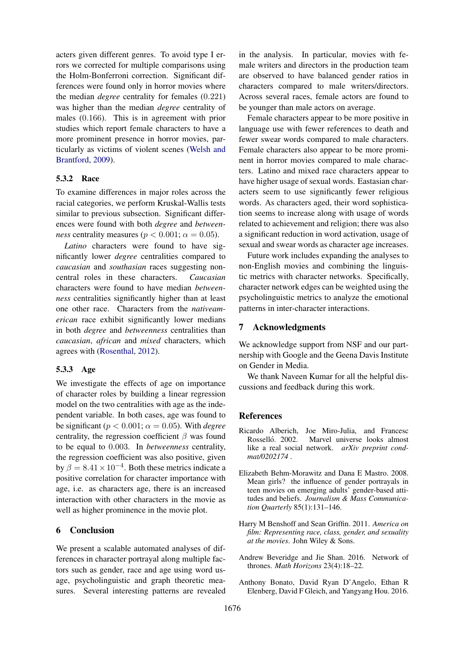acters given different genres. To avoid type I errors we corrected for multiple comparisons using the Holm-Bonferroni correction. Significant differences were found only in horror movies where the median *degree* centrality for females (0.221) was higher than the median *degree* centrality of males (0.166). This is in agreement with prior studies which report female characters to have a more prominent presence in horror movies, particularly as victims of violent scenes (Welsh and Brantford, 2009).

## 5.3.2 Race

To examine differences in major roles across the racial categories, we perform Kruskal-Wallis tests similar to previous subsection. Significant differences were found with both *degree* and *betweenness* centrality measures ( $p < 0.001$ ;  $\alpha = 0.05$ ).

*Latino* characters were found to have significantly lower *degree* centralities compared to *caucasian* and *southasian* races suggesting noncentral roles in these characters. *Caucasian* characters were found to have median *betweenness* centralities significantly higher than at least one other race. Characters from the *nativeamerican* race exhibit significantly lower medians in both *degree* and *betweenness* centralities than *caucasian*, *african* and *mixed* characters, which agrees with (Rosenthal, 2012).

## 5.3.3 Age

We investigate the effects of age on importance of character roles by building a linear regression model on the two centralities with age as the independent variable. In both cases, age was found to be significant ( $p < 0.001$ ;  $\alpha = 0.05$ ). With *degree* centrality, the regression coefficient  $\beta$  was found to be equal to 0.003. In *betweenness* centrality, the regression coefficient was also positive, given by  $\beta = 8.41 \times 10^{-4}$ . Both these metrics indicate a positive correlation for character importance with age, i.e. as characters age, there is an increased interaction with other characters in the movie as well as higher prominence in the movie plot.

### 6 Conclusion

We present a scalable automated analyses of differences in character portrayal along multiple factors such as gender, race and age using word usage, psycholinguistic and graph theoretic measures. Several interesting patterns are revealed

in the analysis. In particular, movies with female writers and directors in the production team are observed to have balanced gender ratios in characters compared to male writers/directors. Across several races, female actors are found to be younger than male actors on average.

Female characters appear to be more positive in language use with fewer references to death and fewer swear words compared to male characters. Female characters also appear to be more prominent in horror movies compared to male characters. Latino and mixed race characters appear to have higher usage of sexual words. Eastasian characters seem to use significantly fewer religious words. As characters aged, their word sophistication seems to increase along with usage of words related to achievement and religion; there was also a significant reduction in word activation, usage of sexual and swear words as character age increases.

Future work includes expanding the analyses to non-English movies and combining the linguistic metrics with character networks. Specifically, character network edges can be weighted using the psycholinguistic metrics to analyze the emotional patterns in inter-character interactions.

## 7 Acknowledgments

We acknowledge support from NSF and our partnership with Google and the Geena Davis Institute on Gender in Media.

We thank Naveen Kumar for all the helpful discussions and feedback during this work.

## References

- Ricardo Alberich, Joe Miro-Julia, and Francesc Rosselló. 2002. Marvel universe looks almost like a real social network. *arXiv preprint condmat/0202174* .
- Elizabeth Behm-Morawitz and Dana E Mastro. 2008. Mean girls? the influence of gender portrayals in teen movies on emerging adults' gender-based attitudes and beliefs. *Journalism & Mass Communication Quarterly* 85(1):131–146.
- Harry M Benshoff and Sean Griffin. 2011. *America on film: Representing race, class, gender, and sexuality at the movies*. John Wiley & Sons.
- Andrew Beveridge and Jie Shan. 2016. Network of thrones. *Math Horizons* 23(4):18–22.
- Anthony Bonato, David Ryan D'Angelo, Ethan R Elenberg, David F Gleich, and Yangyang Hou. 2016.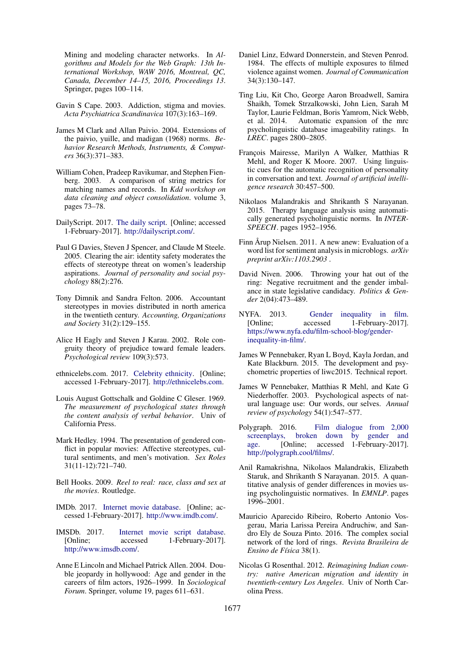Mining and modeling character networks. In *Algorithms and Models for the Web Graph: 13th International Workshop, WAW 2016, Montreal, QC, Canada, December 14–15, 2016, Proceedings 13*. Springer, pages 100–114.

- Gavin S Cape. 2003. Addiction, stigma and movies. *Acta Psychiatrica Scandinavica* 107(3):163–169.
- James M Clark and Allan Paivio. 2004. Extensions of the paivio, yuille, and madigan (1968) norms. *Behavior Research Methods, Instruments, & Computers* 36(3):371–383.
- William Cohen, Pradeep Ravikumar, and Stephen Fienberg. 2003. A comparison of string metrics for matching names and records. In *Kdd workshop on data cleaning and object consolidation*. volume 3, pages 73–78.
- DailyScript. 2017. The daily script. [Online; accessed 1-February-2017]. http://dailyscript.com/.
- Paul G Davies, Steven J Spencer, and Claude M Steele. 2005. Clearing the air: identity safety moderates the effects of stereotype threat on women's leadership aspirations. *Journal of personality and social psychology* 88(2):276.
- Tony Dimnik and Sandra Felton. 2006. Accountant stereotypes in movies distributed in north america in the twentieth century. *Accounting, Organizations and Society* 31(2):129–155.
- Alice H Eagly and Steven J Karau. 2002. Role congruity theory of prejudice toward female leaders. *Psychological review* 109(3):573.
- ethnicelebs.com. 2017. Celebrity ethnicity. [Online; accessed 1-February-2017]. http://ethnicelebs.com.
- Louis August Gottschalk and Goldine C Gleser. 1969. *The measurement of psychological states through the content analysis of verbal behavior*. Univ of California Press.
- Mark Hedley. 1994. The presentation of gendered conflict in popular movies: Affective stereotypes, cultural sentiments, and men's motivation. *Sex Roles* 31(11-12):721–740.
- Bell Hooks. 2009. *Reel to real: race, class and sex at the movies*. Routledge.
- IMDb. 2017. Internet movie database. [Online; accessed 1-February-2017]. http://www.imdb.com/.
- IMSDb. 2017. Internet movie script database. [Online; accessed 1-February-2017]. http://www.imsdb.com/.
- Anne E Lincoln and Michael Patrick Allen. 2004. Double jeopardy in hollywood: Age and gender in the careers of film actors, 1926–1999. In *Sociological Forum*. Springer, volume 19, pages 611–631.
- Daniel Linz, Edward Donnerstein, and Steven Penrod. 1984. The effects of multiple exposures to filmed violence against women. *Journal of Communication* 34(3):130–147.
- Ting Liu, Kit Cho, George Aaron Broadwell, Samira Shaikh, Tomek Strzalkowski, John Lien, Sarah M Taylor, Laurie Feldman, Boris Yamrom, Nick Webb, et al. 2014. Automatic expansion of the mrc psycholinguistic database imageability ratings. In *LREC*. pages 2800–2805.
- François Mairesse, Marilyn A Walker, Matthias R Mehl, and Roger K Moore. 2007. Using linguistic cues for the automatic recognition of personality in conversation and text. *Journal of artificial intelligence research* 30:457–500.
- Nikolaos Malandrakis and Shrikanth S Narayanan. 2015. Therapy language analysis using automatically generated psycholinguistic norms. In *INTER-SPEECH*. pages 1952–1956.
- Finn Årup Nielsen. 2011. A new anew: Evaluation of a word list for sentiment analysis in microblogs. *arXiv preprint arXiv:1103.2903* .
- David Niven. 2006. Throwing your hat out of the ring: Negative recruitment and the gender imbalance in state legislative candidacy. *Politics & Gender* 2(04):473–489.
- NYFA. 2013. Gender inequality in film. [Online; accessed 1-February-2017]. https://www.nyfa.edu/film-school-blog/genderinequality-in-film/.
- James W Pennebaker, Ryan L Boyd, Kayla Jordan, and Kate Blackburn. 2015. The development and psychometric properties of liwc2015. Technical report.
- James W Pennebaker, Matthias R Mehl, and Kate G Niederhoffer. 2003. Psychological aspects of natural language use: Our words, our selves. *Annual review of psychology* 54(1):547–577.
- Polygraph. 2016. Film dialogue from 2,000 screenplays, broken down by gender and age. [Online; accessed 1-February-2017]. http://polygraph.cool/films/.
- Anil Ramakrishna, Nikolaos Malandrakis, Elizabeth Staruk, and Shrikanth S Narayanan. 2015. A quantitative analysis of gender differences in movies using psycholinguistic normatives. In *EMNLP*. pages 1996–2001.
- Mauricio Aparecido Ribeiro, Roberto Antonio Vosgerau, Maria Larissa Pereira Andruchiw, and Sandro Ely de Souza Pinto. 2016. The complex social network of the lord of rings. *Revista Brasileira de Ensino de Física* 38(1).
- Nicolas G Rosenthal. 2012. *Reimagining Indian country: native American migration and identity in twentieth-century Los Angeles*. Univ of North Carolina Press.